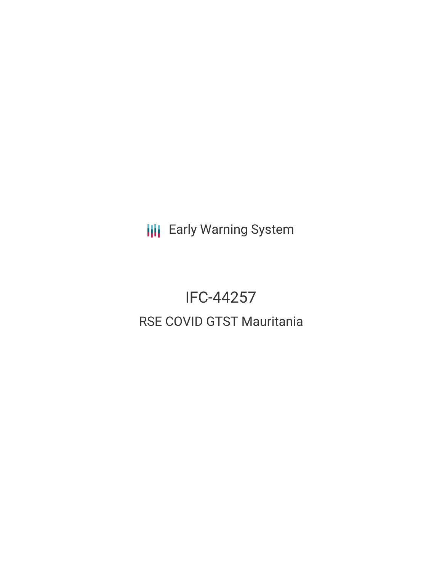**III** Early Warning System

## IFC-44257 RSE COVID GTST Mauritania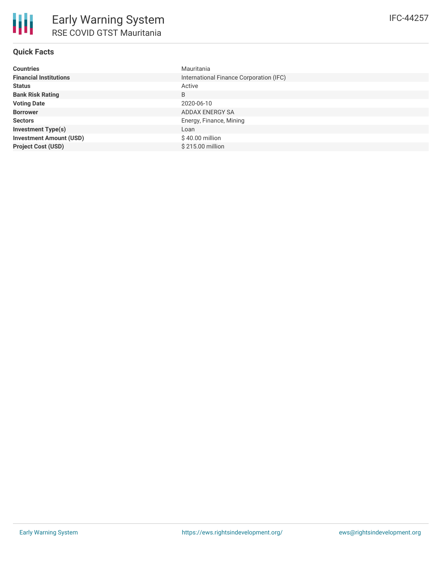### **Quick Facts**

| <b>Countries</b>               | Mauritania                              |
|--------------------------------|-----------------------------------------|
| <b>Financial Institutions</b>  | International Finance Corporation (IFC) |
| <b>Status</b>                  | Active                                  |
| <b>Bank Risk Rating</b>        | B                                       |
| <b>Voting Date</b>             | 2020-06-10                              |
| <b>Borrower</b>                | ADDAX ENERGY SA                         |
| <b>Sectors</b>                 | Energy, Finance, Mining                 |
| <b>Investment Type(s)</b>      | Loan                                    |
| <b>Investment Amount (USD)</b> | $$40.00$ million                        |
| <b>Project Cost (USD)</b>      | \$215.00 million                        |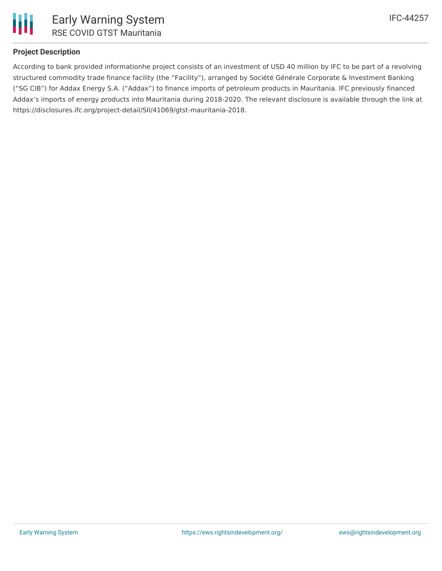

### **Project Description**

According to bank provided informationhe project consists of an investment of USD 40 million by IFC to be part of a revolving structured commodity trade finance facility (the "Facility"), arranged by Société Générale Corporate & Investment Banking ("SG CIB") for Addax Energy S.A. ("Addax") to finance imports of petroleum products in Mauritania. IFC previously financed Addax's imports of energy products into Mauritania during 2018-2020. The relevant disclosure is available through the link at https://disclosures.ifc.org/project-detail/SII/41069/gtst-mauritania-2018.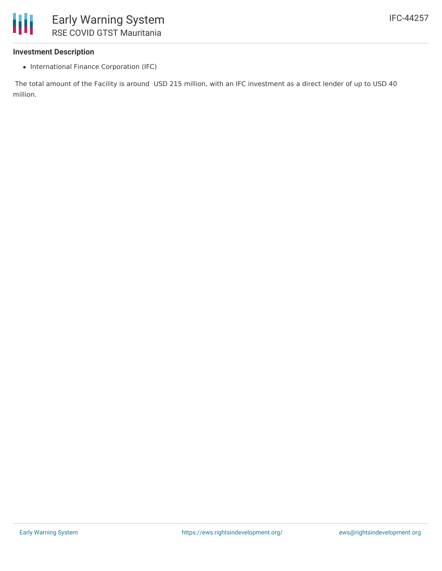### **Investment Description**

• International Finance Corporation (IFC)

The total amount of the Facility is around USD 215 million, with an IFC investment as a direct lender of up to USD 40 million.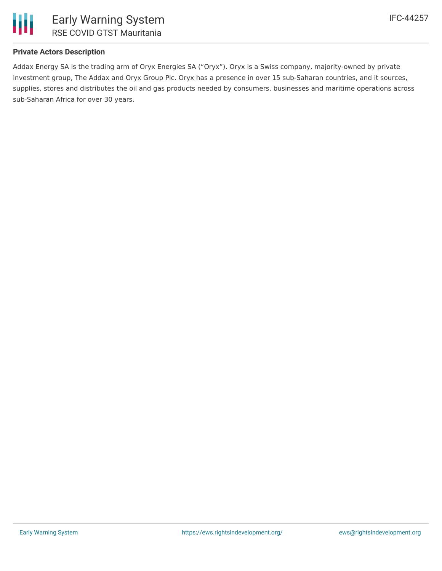

### **Private Actors Description**

Addax Energy SA is the trading arm of Oryx Energies SA ("Oryx"). Oryx is a Swiss company, majority-owned by private investment group, The Addax and Oryx Group Plc. Oryx has a presence in over 15 sub-Saharan countries, and it sources, supplies, stores and distributes the oil and gas products needed by consumers, businesses and maritime operations across sub-Saharan Africa for over 30 years.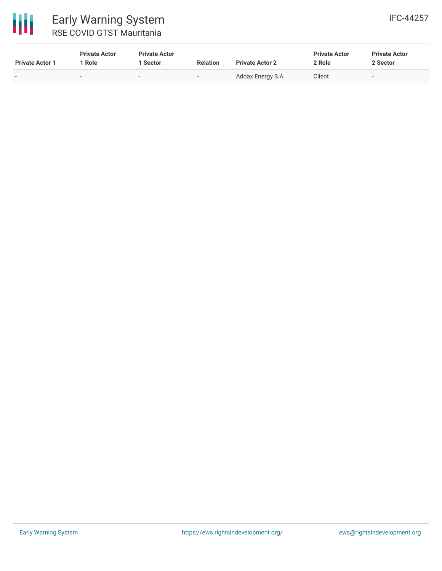# 冊

### Early Warning System RSE COVID GTST Mauritania

| <b>Private Actor 1</b>   | <b>Private Actor</b><br>Role | <b>Private Actor</b><br>  Sector | <b>Relation</b> | <b>Private Actor 2</b> | <b>Private Actor</b><br>2 Role | <b>Private Actor</b><br>2 Sector |
|--------------------------|------------------------------|----------------------------------|-----------------|------------------------|--------------------------------|----------------------------------|
| $\overline{\phantom{a}}$ | -                            |                                  |                 | Addax Energy S.A.      | Client                         | $\overline{\phantom{a}}$         |